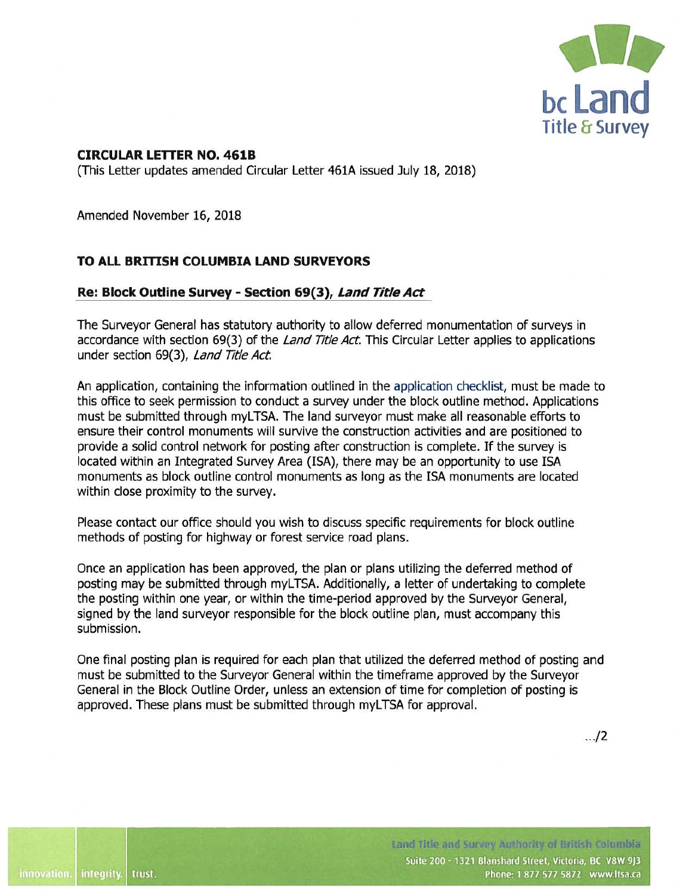

## **CIRCULAR LETTER NO. 461B**

{This Letter updates amended Circular Letter 461A issued July 18, 2018)

Amended November 16, 2018

## **TO ALL BRITISH COLUMBIA LAND SURVEYORS**

## **Re: Block Outline Survey - Section 69(3), Land Title Act**

The Surveyor General has statutory authority to allow deferred monumentation of surveys in accordance with section 69(3) of the Land Title Act. This Circular Letter applies to applications under section 69(3), Land Title Act.

An application, containing the information outlined in the [application checklist,](https://ltsa.ca/practice-info/block-outline-surveys) must be made to this office to seek permission to conduct a survey under the block outline method. Applications must be submitted through myLTSA. The land surveyor must make all reasonable efforts to ensure their control monuments will survive the construction activities and are positioned to provide a solid control network for posting after construction is complete. If the survey is located within an [Integrated Survey Area](https://ltsa.ca/practice-info/integrated-survey-area-program) **(ISA),** there may be an opportunity to use ISA monuments as block outline control monuments as long as the ISA monuments are located within close proximity to the survey.

Please contact our office should you wish to discuss specific requirements for block outline methods of posting for highway or forest service road plans.

Once an application has been approved, the plan or plans utilizing the deferred method of posting may be submitted through myLTSA. Additionally, a letter of undertaking to complete the posting within one year, or within the time-period approved by the Surveyor General, signed by the land surveyor responsible for the block outline plan, must accompany this submission.

One final posting plan is required for each plan that utilized the deferred method of posting and must be submitted to the Surveyor General within the timeframe approved by the Surveyor General in the Block Outline Order, unless an extension of time for completion of posting is approved. These plans must be submitted through myLTSA for approval.

.. ./2